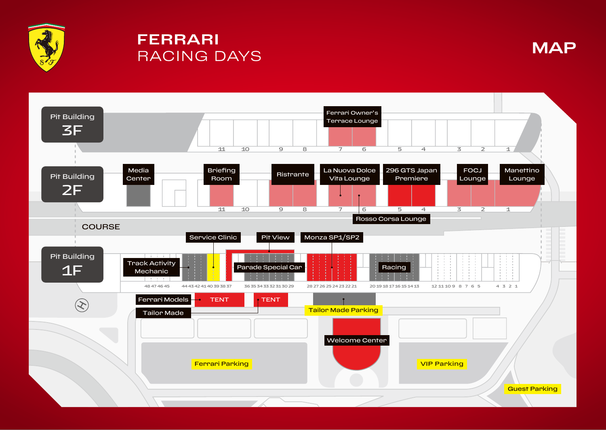

## **FERRARI RACING DAYS**



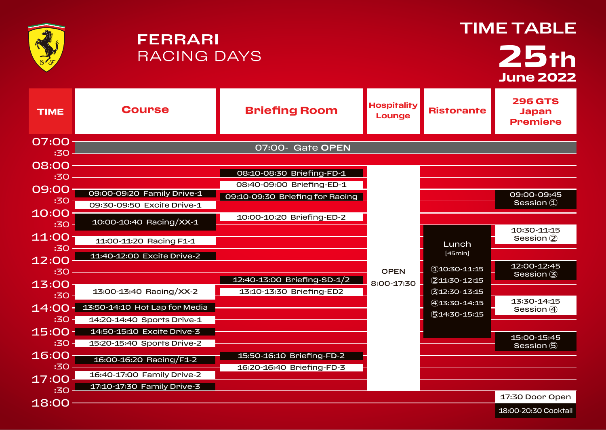|              | <b>FERRARI</b><br><b>RACING DAYS</b>                                |                                 |                              | <b>TIME TABLE</b><br>25th<br><b>June 2022</b> |                                                   |
|--------------|---------------------------------------------------------------------|---------------------------------|------------------------------|-----------------------------------------------|---------------------------------------------------|
| <b>TIME</b>  | <b>Course</b>                                                       | <b>Briefing Room</b>            | <b>Hospitality</b><br>Lounge | <b>Ristorante</b>                             | <b>296 GTS</b><br><b>Japan</b><br><b>Premiere</b> |
| 07:00        |                                                                     | 07:00- Gate OPEN                |                              |                                               |                                                   |
| :30          |                                                                     |                                 |                              |                                               |                                                   |
| 08:00        |                                                                     | 08:10-08:30 Briefing-FD-1       |                              |                                               |                                                   |
| :30          |                                                                     | 08:40-09:00 Briefing-ED-1       |                              |                                               |                                                   |
| 09:00<br>:30 | 09:00-09:20 Family Drive-1                                          | 09:10-09:30 Briefing for Racing |                              |                                               | 09:00-09:45                                       |
| 10:00        | 09:30-09:50 Excite Drive-1                                          |                                 |                              |                                               | Session (1)                                       |
| :30          | 10:00-10:40 Racing/XX-1                                             | 10:00-10:20 Briefing-ED-2       |                              |                                               |                                                   |
| 11:00        | 11:00-11:20 Racing F1-1                                             |                                 |                              |                                               | 10:30-11:15<br>Session (2)                        |
| :30          |                                                                     |                                 |                              | Lunch<br>[45min]                              |                                                   |
| 12:00        | 11:40-12:00 Excite Drive-2                                          |                                 |                              |                                               | 12:00-12:45                                       |
| :30          |                                                                     | 12:40-13:00 Briefing-SD-1/2     | OPEN                         | (110:30-11:15<br>211:30-12:15                 | Session (3)                                       |
| 13:00        | 13:00-13:40 Racing/XX-2                                             | 13:10-13:30 Briefing-ED2        | 8:00-17:30                   | 312:30-13:15                                  |                                                   |
| :30          |                                                                     |                                 |                              | 413:30-14:15                                  | 13:30-14:15                                       |
| :30          | 14:00 - 13:50-14:10 Hot Lap for Media<br>14:20-14:40 Sports Drive-1 |                                 |                              | 514:30-15:15                                  | Session (4)                                       |
| $15:00 -$    | 14:50-15:10 Excite Drive-3                                          |                                 |                              |                                               |                                                   |
| $:30 -$      | 15:20-15:40 Sports Drive-2                                          |                                 |                              |                                               | 15:00-15:45<br>Session (5)                        |
| $16:00^{-}$  |                                                                     | 15:50-16:10 Briefing-FD-2       |                              |                                               |                                                   |
| :30          | 16:00-16:20 Racing/F1-2                                             | 16:20-16:40 Briefing-FD-3       |                              |                                               |                                                   |
| 17:00        | 16:40-17:00 Family Drive-2                                          |                                 |                              |                                               |                                                   |
| :30          | 17:10-17:30 Family Drive-3                                          |                                 |                              |                                               | 17:30 Door Open                                   |
| 18:00        |                                                                     |                                 |                              |                                               | 18:00-20:30 Cocktail                              |
|              |                                                                     |                                 |                              |                                               |                                                   |